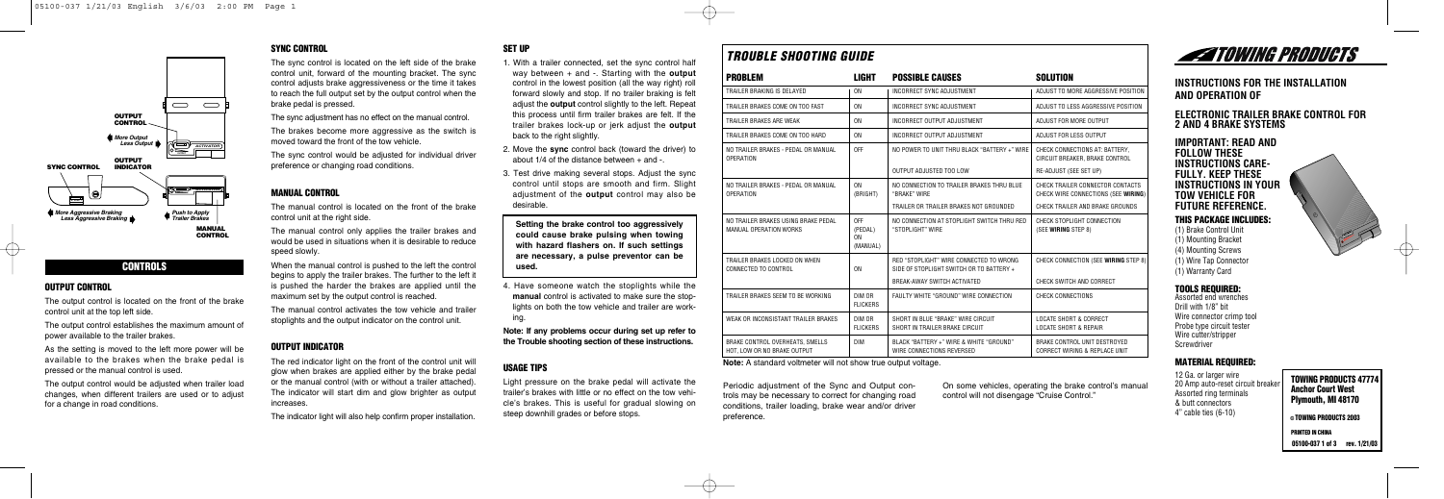

## **CONTROLS**

#### **OUTPUT CONTROL**

The output control is located on the front of the brake control unit at the top left side.

The output control would be adjusted when trailer load changes, when different trailers are used or to adjust for a change in road conditions.

The output control establishes the maximum amount of power available to the trailer brakes.

As the setting is moved to the left more power will be available to the brakes when the brake pedal is pressed or the manual control is used.

The manual control is located on the front of the brake control unit at the right side.

## **SYNC CONTROL**

When the manual control is pushed to the left the control begins to apply the trailer brakes. The further to the left it is pushed the harder the brakes are applied until the maximum set by the output control is reached.

The sync control is located on the left side of the brake control unit, forward of the mounting bracket. The sync control adjusts brake aggressiveness or the time it takes to reach the full output set by the output control when the brake pedal is pressed.

The sync adjustment has no effect on the manual control.

The brakes become more aggressive as the switch is moved toward the front of the tow vehicle.

The sync control would be adjusted for individual driver preference or changing road conditions.

#### **MANUAL CONTROL**

The manual control only applies the trailer brakes and would be used in situations when it is desirable to reduce speed slowly.

The manual control activates the tow vehicle and trailer stoplights and the output indicator on the control unit.

#### **OUTPUT INDICATOR**

The red indicator light on the front of the control unit will glow when brakes are applied either by the brake pedal or the manual control (with or without a trailer attached). The indicator will start dim and glow brighter as output increases.

The indicator light will also help confirm proper installation.

## **SET UP**

- 1. With a trailer connected, set the sync control half way between + and -. Starting with the **output** control in the lowest position (all the way right) roll forward slowly and stop. If no trailer braking is felt adjust the **output** control slightly to the left. Repeat this process until firm trailer brakes are felt. If the trailer brakes lock-up or jerk adjust the **output** back to the right slightly.
- 2. Move the **sync** control back (toward the driver) to about  $1/4$  of the distance between  $+$  and -
- 3. Test drive making several stops. Adjust the sync control until stops are smooth and firm. Slight adjustment of the **output** control may also be desirable.

**Setting the brake control too aggressively could cause brake pulsing when towing with hazard flashers on. If such settings are necessary, a pulse preventor can be used.**

4. Have someone watch the stoplights while the **manual** control is activated to make sure the stoplights on both the tow vehicle and trailer are working.

**Note: If any problems occur during set up refer to the Trouble shooting section of these instructions.**

#### **USAGE TIPS**

Light pressure on the brake pedal will activate the trailer's brakes with little or no effect on the tow vehicle's brakes. This is useful for gradual slowing on steep downhill grades or before stops.

## **INSTRUCTIONS FOR THE INSTALLATION AND OPERATION OF**

#### **ELECTRONIC TRAILER BRAKE CONTROL FOR 2 AND 4 BRAKE SYSTEMS**

**IMP0RTANT: READ AND FOLLOW THESE INSTRUCTIONS CARE-FULLY. KEEP THESE INSTRUCTIONS IN YOUR TOW VEHICLE FOR FUTURE REFERENCE.**

#### **THIS PACKAGE INCLUDES:**

(1) Brake Control Unit (1) Mounting Bracket (4) Mounting Screws (1) Wire Tap Connector (1) Warranty Card

## **TOOLS REQUIRED:**

Assorted end wrenches Drill with 1/8" bit Wire connector crimp tool Probe type circuit tester Wire cutter/stripper Screwdriver

## **MATERIAL REQUIRED:**

12 Ga. or larger wire 20 Amp auto-reset circuit breake Assorted ring terminals & butt connectors 4" cable ties (6-10)



Periodic adjustment of the Sync and Output controls may be necessary to correct for changing road conditions, trailer loading, brake wear and/or driver preference.

On some vehicles, operating the brake control's manual control will not disengage "Cruise Control."



## *TROUBLE SHOOTING GUIDE*

| <b>PROBLEM</b>                                                 | LIGHT                                        | <b>POSSIBLE CAUSES</b>                                                              | <b>SOLUTION</b>                                                          |
|----------------------------------------------------------------|----------------------------------------------|-------------------------------------------------------------------------------------|--------------------------------------------------------------------------|
| TRAILER BRAKING IS DELAYED                                     | 0 <sub>N</sub>                               | <b>INCORRECT SYNC ADJUSTMENT</b>                                                    | ADJUST TO MORE AGGRESSIVE POSITION                                       |
| TRAILER BRAKES COME ON TOO FAST                                | 0 <sub>N</sub>                               | INCORRECT SYNC ADJUSTMENT                                                           | ADJUST TO LESS AGGRESSIVE POSITION                                       |
| TRAILER BRAKES ARE WEAK                                        | 0 <sub>N</sub>                               | INCORRECT OUTPUT ADJUSTMENT                                                         | ADJUST FOR MORE OUTPUT                                                   |
| TRAILER BRAKES COME ON TOO HARD                                | 0 <sub>N</sub>                               | INCORRECT OUTPUT ADJUSTMENT                                                         | ADJUST FOR LESS OUTPUT                                                   |
| NO TRAILER BRAKES - PEDAL OR MANUAL<br><b>OPERATION</b>        | 0FF                                          | NO POWER TO UNIT THRU BLACK "BATTERY +" WIRE                                        | CHECK CONNECTIONS AT: BATTERY.<br>CIRCUIT BREAKER, BRAKE CONTROL         |
|                                                                |                                              | OUTPUT ADJUSTED TOO LOW                                                             | RE-ADJUST (SEE SET UP)                                                   |
| NO TRAILER BRAKES - PEDAL OR MANUAL<br><b>OPERATION</b>        | 0 <sub>N</sub><br>(BRIGHT)                   | NO CONNECTION TO TRAILER BRAKES THRU BLUE<br>"BRAKE" WIRE                           | CHECK TRAILER CONNECTOR CONTACTS<br>CHECK WIRE CONNECTIONS (SEE WIRING)  |
|                                                                |                                              | TRAILER OR TRAILER BRAKES NOT GROUNDED                                              | CHECK TRAILER AND BRAKE GROUNDS                                          |
| NO TRAILER BRAKES USING BRAKE PEDAL<br>MANUAL OPERATION WORKS  | 0FF<br>(PEDAL)<br>0 <sub>N</sub><br>(MANUAL) | NO CONNECTION AT STOPLIGHT SWITCH THRU RED<br>"STOPLIGHT" WIRE                      | CHECK STOPLIGHT CONNECTION<br>(SEE WIRING STEP 8)                        |
| TRAILER BRAKES LOCKED ON WHEN<br>CONNECTED TO CONTROL          | 0 <sub>N</sub>                               | RED "STOPLIGHT" WIRE CONNECTED TO WRONG<br>SIDE OF STOPLIGHT SWITCH OR TO BATTERY + | CHECK CONNECTION (SEE WIRING STEP 8)                                     |
|                                                                |                                              | BREAK-AWAY SWITCH ACTIVATED                                                         | CHECK SWITCH AND CORRECT                                                 |
| TRAILER BRAKES SEEM TO BE WORKING                              | DIM OR<br><b>FLICKERS</b>                    | FAULTY WHITE "GROUND" WIRE CONNECTION                                               | <b>CHECK CONNECTIONS</b>                                                 |
| WEAK OR INCONSISTANT TRAILER BRAKES                            | DIM OR<br><b>FLICKERS</b>                    | SHORT IN BLUE "BRAKE" WIRE CIRCUIT<br>SHORT IN TRAILER BRAKE CIRCUIT                | LOCATE SHORT & CORRECT<br><b>LOCATE SHORT &amp; REPAIR</b>               |
| BRAKE CONTROL OVERHEATS. SMELLS<br>HOT. LOW OR NO BRAKE OUTPUT | <b>DIM</b>                                   | BLACK "BATTERY +" WIRE & WHITE "GROUND"<br>WIRE CONNECTIONS REVERSED                | BRAKE CONTROL UNIT DESTROYED<br><b>CORRECT WIRING &amp; REPLACE UNIT</b> |

**TOWING PRODUCTS 47774 Anchor Court West Plymouth, MI 48170**

**© TOWING PRODUCTS 2003**

**PRINTED IN CHINA**

**05100-037 1 of 3 rev. 1/21/03**

**Note:** A standard voltmeter will not show true output voltage.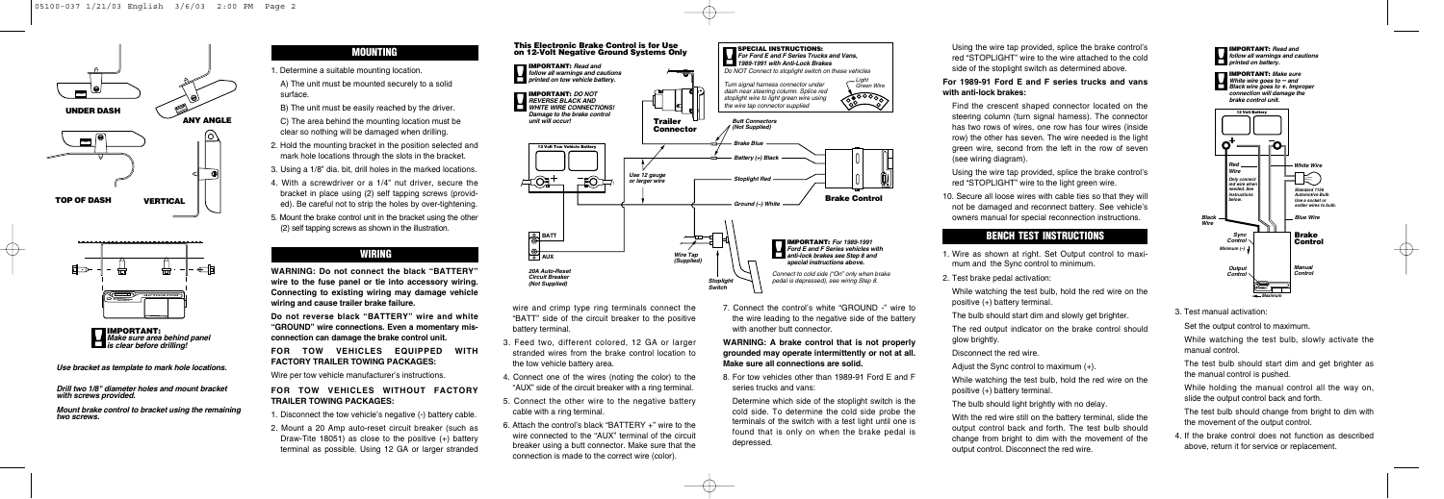

7. Connect the control's white "GROUND -" wire to the wire leading to the negative side of the battery with another butt connector







 $\overline{\oplus}$ 

*Use bracket as template to mark hole locations.*

*Drill two 1/8" diameter holes and mount bracket with screws provided.*

*Mount brake control to bracket using the remaining two screws.*

wire and crimp type ring terminals connect the "BATT" side of the circuit breaker to the positive battery terminal.

- 3. Feed two, different colored, 12 GA or larger stranded wires from the brake control location to the tow vehicle battery area.
- 4. Connect one of the wires (noting the color) to the "AUX" side of the circuit breaker with a ring terminal.
- 5. Connect the other wire to the negative battery cable with a ring terminal.
- 6. Attach the control's black "BATTERY +" wire to the wire connected to the "AUX" terminal of the circuit breaker using a butt connector. Make sure that the connection is made to the correct wire (color).

While holding the manual control all the way on, slide the output control back and forth.

The test bulb should change from bright to dim with the movement of the output control.

#### **WARNING: A brake control that is not properly grounded may operate intermittently or not at all. Make sure all connections are solid.**

8. For tow vehicles other than 1989-91 Ford E and F series trucks and vans:

Determine which side of the stoplight switch is the cold side. To determine the cold side probe the terminals of the switch with a test light until one is found that is only on when the brake pedal is depressed.

Using the wire tap provided, splice the brake control's red "STOPLIGHT" wire to the wire attached to the cold side of the stoplight switch as determined above.

#### **For 1989-91 Ford E and F series trucks and vans with anti-lock brakes:**

Find the crescent shaped connector located on the steering column (turn signal harness). The connector has two rows of wires, one row has four wires (inside row) the other has seven. The wire needed is the light green wire, second from the left in the row of seven (see wiring diagram).

Using the wire tap provided, splice the brake control's red "STOPLIGHT" wire to the light green wire.

10. Secure all loose wires with cable ties so that they will not be damaged and reconnect battery. See vehicle's owners manual for special reconnection instructions.

## **BENCH TEST INSTRUCTIONS**

- 1. Wire as shown at right. Set Output control to maximum and the Sync control to minimum.
- 2. Test brake pedal activation:

While watching the test bulb, hold the red wire on the positive (+) battery terminal.

The bulb should start dim and slowly get brighter.

The red output indicator on the brake control should glow brightly.

Disconnect the red wire.

Adjust the Sync control to maximum (+).

While watching the test bulb, hold the red wire on the positive (+) battery terminal.

The bulb should light brightly with no delay.

With the red wire still on the battery terminal, slide the output control back and forth. The test bulb should change from bright to dim with the movement of the output control. Disconnect the red wire.



3. Test manual activation:

Set the output control to maximum.

While watching the test bulb, slowly activate the manual control.

 $\oplus$ 

The test bulb should start dim and get brighter as the manual control is pushed.

4. If the brake control does not function as described above, return it for service or replacement.

## **MOUNTING**

- 1. Determine a suitable mounting location.
- A) The unit must be mounted securely to a solid surface.
- B) The unit must be easily reached by the driver.

C) The area behind the mounting location must be clear so nothing will be damaged when drilling.

- 2. Hold the mounting bracket in the position selected and mark hole locations through the slots in the bracket.
- 3. Using a 1/8" dia. bit, drill holes in the marked locations.
- 4. With a screwdriver or a 1/4" nut driver, secure the bracket in place using (2) self tapping screws (provided). Be careful not to strip the holes by over-tightening.
- 5. Mount the brake control unit in the bracket using the other (2) self tapping screws as shown in the illustration.

#### **WIRING**

**WARNING: Do not connect the black "BATTERY" wire to the fuse panel or tie into accessory wiring. Connecting to existing wiring may damage vehicle wiring and cause trailer brake failure.**

**Do not reverse black "BATTERY" wire and white "GROUND" wire connections. Even a momentary misconnection can damage the brake control unit.**

**FOR TOW VEHICLES EQUIPPED WITH FACTORY TRAILER TOWING PACKAGES:**

Wire per tow vehicle manufacturer's instructions.

#### **FOR TOW VEHICLES WITHOUT FACTORY TRAILER TOWING PACKAGES:**

- 1. Disconnect the tow vehicle's negative (-) battery cable.
- 2. Mount a 20 Amp auto-reset circuit breaker (such as Draw-Tite 18051) as close to the positive (+) battery terminal as possible. Using 12 GA or larger stranded

**IMPORTANT:** *Make sure White wire goes to – and Black wire goes to +. Improper connection will damage the brake control unit.*

**IMPORTANT:** *Read and follow all warnings and cautions printed on battery.*



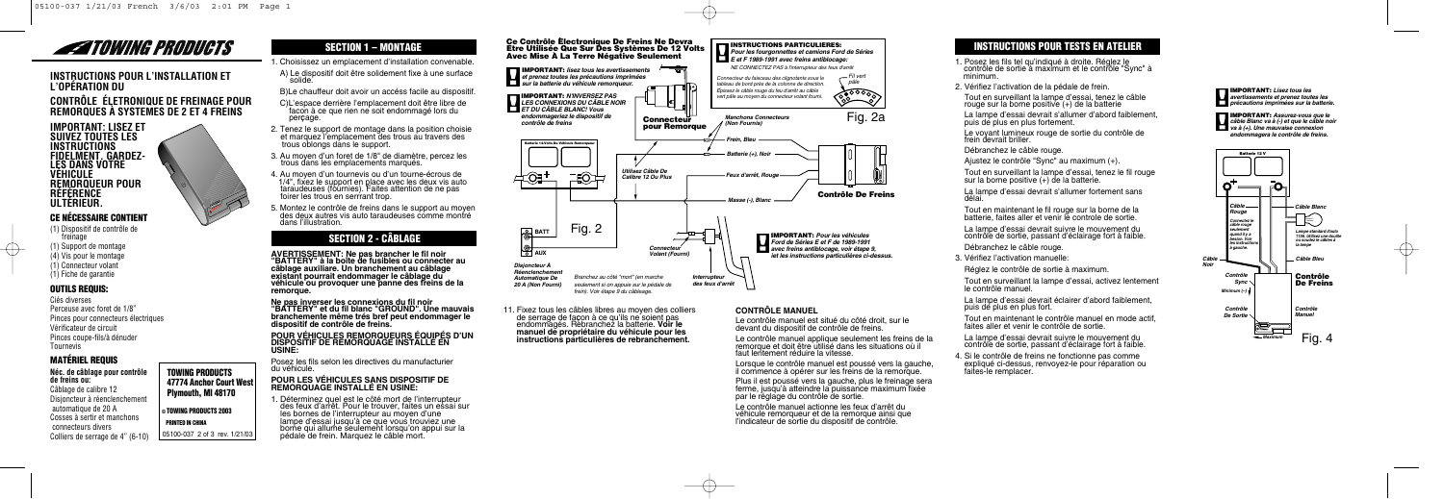## **INSTRUCTIONS POUR L'INSTALLATION ET L'OPÉRATION DU**

## **CONTRÔLE ÉLETRONIQUE DE FREINAGE POUR REMORQUES À SYSTEMES DE 2 ET 4 FREINS**

## **CE NÉCESSAIRE CONTIENT**

(1) Dispositif de contrôle de freinage (1) Support de montage (4) Vis pour le montage (1) Connecteur volant (1) Fiche de garantie

#### **OUTILS REQUIS:**

Ciés diverses Perceuse avec foret de 1/8" Pinces pour connecteurs électriques Vérificateur de circuit Pinces coupe-fils/à dénuder Tournevis

### **MATÉRIEL REQUIS**

**Néc. de câblage pour contrôle de freins ou:**  Câblage de calibre 12 Disjoncteur à réenclenchement automatique de 20 A Cosses à sertir et manchons connecteurs divers Colliers de serrage de 4" (6-10)

## **TOWING PRODUCTS 47774 Anchor Court West Plymouth, MI 48170 © TOWING PRODUCTS 2003 PRINTED IN CHINA**

05100-037 2 of 3 rev. 1/21/03

## **SECTION 1 – MONTAGE**

- 1. Choisissez un emplacement d'installation convenable.
- A) Le dispositif doit être solidement fixe à une surface.
- B)Le chauffeur doit avoir un accéss facile au dispositif.
- C)L'espace derrière l'emplacement doit être libre de facon à ce que rien ne soit endommagé lors du per**Ç**age.
- 2. Tenez le support de montage dans la position choisie et marquez l'emplacement des trous au travers des trous oblongs dans le support.
- 3. Au moyen d'un foret de 1/8" de diamètre, percez les trous dans les emplacements marqués.
- 4. Au moyen d'un tournevis ou d'un tourne-écrous de 1/4", fixez le support en place avec les deux vis auto taraudeuses (fournies). Faites attention de ne pas foirer les trous en serrrant trop.
- 5. Montez le contrôle de freins dans le support au moyen des deux autres vis auto taraudeuses comme montré dans l'illustration.

## **SECTION 2 - CÂBLAGE**

**AVERTISSEMENT: Ne pas brancher le fil noir "BATTERY" à la boîte de fusibles ou connecter au câblage auxiliare. Un branchement au câblage existant pourrait endommager le câblage du véhicule ou provoquer une panne des freins de la remorque.** 

> 11. Fixez tous les câbles libres au moyen des colliers de serrage de fa**Ç**on à ce qu'ils ne soient pas endommagés. Rebranchez la batterie. **Voir le**  instructions particulières de rebranchement.

**Ne pas inverser les connexions du fil noir "BATTERY" et du fil blanc "GROUND". Une mauvais branchemente même trés bref peut endommager le dispositif de contrôle de freins.** 

# **POUR VÉHICULES REMORQUEURS ÉQUIPÉS D'UN DISPOSITIF DE REMORQUAGE INSTALLÉ EN USINE:**

Posez les fils selon les directives du manufacturier du véhicule.

## **POUR LES VÉHICULES SANS DISPOSITIF DE REMORQUAGE INSTALLÉ EN USINE:**

1. Déterminez quel est le côté mort de l'interrupteur des feux d'arrêt. Pour le trouver, faites un essai sur les bornes de l'interrupteur au moyen d'une<br>lampe d'essai jusqu'à ce que vous trouviez une lampe d'essai jusqu'à ce que vous trouviez une borne qui allume seulement lorsqu'on appui sur la pédale de frein. Marquez le câble mort.

- 1. Posez les fils tel qu'indiqué à droite. Réglez le<br>contrôle de sortie à maximum et le contrôle "Sync" à<br>minimum
- 2. Vérifiez l'activation de la pédale de frein.





#### **CONTRÔLE MANUEL**

Le contrôle manuel est situé du côté droit, sur le devant du dispositif de contrôle de freins.

Le contrôle manuel applique seulement les freins de la remorque et doit être utilisé dans les situations où il faut lentement réduire la vitesse.

Lorsque le contrôle manuel est poussé vers la gauche, il commence à opérer sur les freins de la remorque.

Plus il est poussé vers la gauche, plus le freinage sera ferme, jusqu'à atteindre la puissance maximum fixée par le réglage du contrôle de sortie.

Le contrôle manuel actionne les feux d'arrêt du véhicule remorqueur et de la remorque ainsi que l'indicateur de sortie du dispositif de contrôle.

## **INSTRUCTIONS POUR TESTS EN ATELIER**

Tout en surveillant la lampe d'essai, tenez le câble rouge sur la borne positive (+) de la batterie

La lampe d'essai devrait s'allumer d'abord faiblement, puis de plus en plus fortement.

Le voyant lumineux rouge de sortie du contrôle de frein devrait briller.

Débranchez le câble rouge.

Ajustez le contrôle "Sync" au maximum (+).

Tout en surveillant la lampe d'essai, tenez le fil rouge sur la borne positive (+) de la batterie.

La lampe d'essai devrait s'allumer fortement sans délai.

Tout en maintenant le fil rouge sur la borne de la batterie, faites aller et venir le controle de sortie.

La lampe d'essai devrait suivre le mouvement du contrôle de sortie, passant d'éclairage fort à faible.

Débranchez le câble rouge.

3. Vérifiez l'activation manuelle:

Réglez le contrôle de sortie à maximum.

Tout en surveillant la lampe d'essai, activez lentement le contrôle manuel.

La lampe d'essai devrait éclairer d'abord faiblement, puis de plus en plus fort.

Tout en maintenant le contrôle manuel en mode actif, faites aller et venir le contrôle de sortie.

La lampe d'essai devrait suivre le mouvement du contrôle de sortie, passant d'éclairage fort à faible.

4. Si le contrôle de freins ne fonctionne pas comme expliqué ci-dessus, renvoyez-le pour réparation ou faites-le remplacer.



**IMPORTANT:** *Assurez-vous que le câble Blanc va à (-) et que le câble noir va à (+). Une mauvaise connexion endommagera le contrôle de freins.*

**IMPORTANT:** *Lisez tous les avertissements et prenez toutes les précautions imprimées sur la batterie.*





 $\rightarrow$ 

## **ZATOWING PRODUCTS**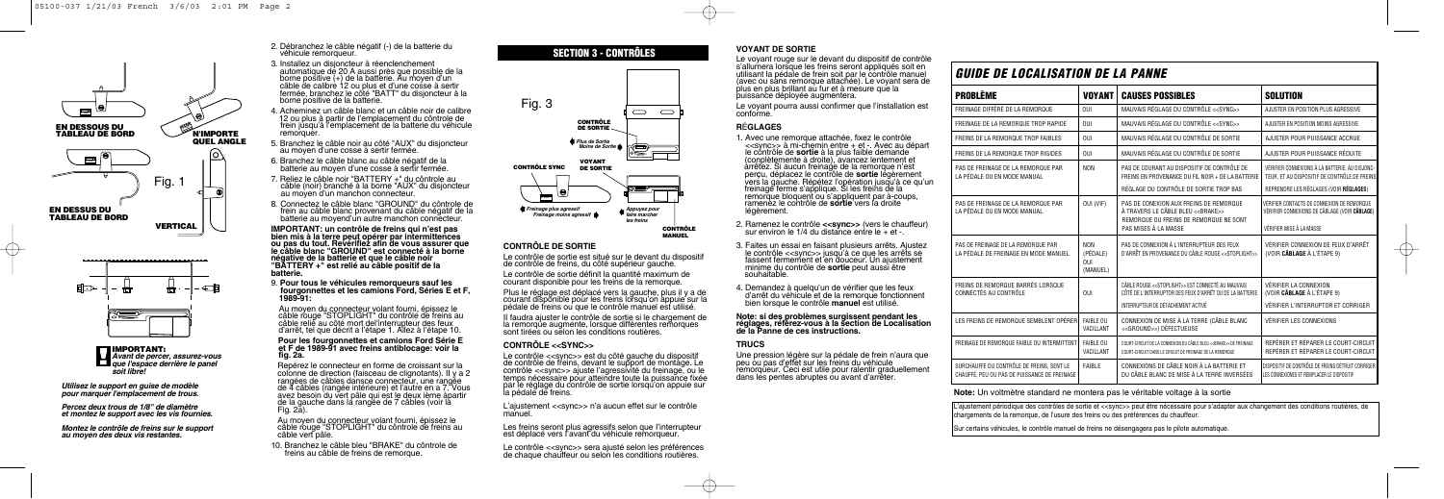| <b>GUIDE DE LOCALISATION DE LA PANNE</b>                                                  |                                          |                                                                                                                                |                                                                                                 |  |  |
|-------------------------------------------------------------------------------------------|------------------------------------------|--------------------------------------------------------------------------------------------------------------------------------|-------------------------------------------------------------------------------------------------|--|--|
| <b>PROBLÈME</b>                                                                           | <b>VOYANT</b>                            | <b>CAUSES POSSIBLES</b>                                                                                                        | <b>SOLUTION</b>                                                                                 |  |  |
| FREINAGE DIFFÉRÉ DE LA REMORQUE                                                           | 0U                                       | MAUVAIS RÉGLAGE DU CONTRÔLE < <sync>&gt;</sync>                                                                                | AJUSTER EN POSITION PLUS AGRESSIVE                                                              |  |  |
| FREINAGE DE LA REMORQUE TROP RAPIDE                                                       | <b>OUI</b>                               | MAUVAIS RÉGLAGE DU CONTRÔLE < <sync>&gt;</sync>                                                                                | AJUSTER EN POSITION MOINS AGRESSIVE                                                             |  |  |
| FREINS DE LA REMORQUE TROP FAIBLES                                                        | OUI                                      | MAUVAIS RÉGLAGE DU CONTRÔLE DE SORTIE                                                                                          | AJUSTER POUR PUISSANCE ACCRUE                                                                   |  |  |
| FREINS DE LA REMORQUE TROP RIGIDES                                                        | 0U                                       | MAUVAIS RÉGLAGE DU CONTRÔLE DE SORTIE                                                                                          | AJUSTER POUR PUISSANCE RÉDUITE                                                                  |  |  |
| PAS DE FREINAGE DE LA REMORQUE PAR<br>LA PÉDALE OU EN MODE MANUAL                         | <b>NON</b>                               | PAS DE COURANT AU DISPOSITIF DE CONTRÔLE DE<br>FREINS EN PROVENANCE DU FIL NOIR + DE LA BATTERIE                               | VÉRIFIER CONNEXIONS À LA BATTERIE, AU DISJONC-<br>TEUR, ET AU DISPOSITIF DE CONTRÔLE DE FREINS  |  |  |
|                                                                                           |                                          | RÉGLAGE DU CONTRÔLE DE SORTIE TROP BAS                                                                                         | REPRENDRE LES RÉGLAGES (VOIR RÉGLAGES)                                                          |  |  |
| PAS DE FREINAGE DE LA REMORQUE PAR<br>LA PÉDALE OU EN MODE MANUAL                         | OUI (VIF)                                | PAS DE CONEXION AUX FREINS DE REMORQUE<br>À TRAVERS LE CÂBLE BLEU << BRAKE>><br>REMORQUE OU FREINS DE REMORQUE NE SONT         | VÉRIFIER CONTACTS DE CONNEXION DE REMORQUE<br>VÉRIFIER CONNEXIONS DE CÂBLAGE (VOIR CÂBLAGE)     |  |  |
|                                                                                           |                                          | PAS MISES À LA MASSE                                                                                                           | VÉRIFIER MISE À LA MASSE                                                                        |  |  |
| PAS DE FREINAGE DE LA REMORQUE PAR<br>LA PÉDALE DE FREINAGE EN MODE MANUEL                | <b>NON</b><br>(PÉDALE)<br>0U<br>(MANUEL) | PAS DE CONNEXION À L'INTERRUPTEUR DES FEUX<br>D'ARRÊT EN PROVENANCE DU CÂBLE ROUGE < <stoplight>&gt;</stoplight>               | VÉRIFIER CONNEXION DE FEUX D'ARRÊT<br>(VOIR CÂBLAGE À L'ÉTAPE 9)                                |  |  |
| FREINS DE REMORQUE BARRÉS LORSQUE<br>CONNECTÉS AU CONTRÔLE                                | <b>OUI</b>                               | CÂBLE ROUGE << STOPLIGHT>> EST CONNECTÉ AU MAUVAIS<br>CÔTÉ DE L'INTERRUPTOR DES FEUX D'ARRÊT OU DE LA BATTERIE                 | VÉRIFIER LA CONNEXION<br>(VOIR CÂBLAGE À L'ÉTAPE 9)                                             |  |  |
|                                                                                           |                                          | INTERRUPTEUR DE DÉTACHEMENT ACTIVÉ                                                                                             | VÉRIFIER L'INTERRUPTOR ET CORRIGER                                                              |  |  |
| LES FREINS DE REMORQUE SEMBLENT OPÉRER                                                    | <b>FAIBLE OU</b><br>VACILLANT            | CONNEXION DE MISE À LA TERRE (CÂBLE BLANC<br><< GROUND>>) DÉFECTUEUSE                                                          | <b>VÉRIFIER LES CONNEXIONS</b>                                                                  |  |  |
| FREINAGE DE REMORQUE FAIBLE OU INTERMITTENT                                               | <b>FAIBLE OU</b><br>VACILLANT            | COURT-CIRCUIT DE LA CONNEXION DU CÂBLE BLEU << BRAKE>> DE FREINAGE<br>COURT-CIRCUIT DANS LE CIRCUIT DE FREINAGE DE LA REMORQUE | REPÉRER ET RÉPARER LE COURT-CIRCUIT<br>REPÉRER ET RÉPARER LE COURT-CIRCUIT                      |  |  |
| SURCHAUFFE DU CONTRÔLE DE FREINS, SENT LE<br>CHAUFFÉ, PEU OU PAS DE PUISSANCE DE FREINAGE | <b>FAIBLE</b>                            | CONNEXIONS DE CÂBLE NOIR À LA BATTERIE ET<br>DU CÂBLE BLANC DE MISE À LA TERRE INVERSÉES                                       | DISPOSITIF DE CONTRÔLE DE FREINS DÉTRUIT CORRIGER<br>LES CONNEXIONES ET REMPLACER LE DISPOSITIF |  |  |

IMPORTANT: un contrôle de freins qui n'est pas<br>bien mis à la terre peut opérer par intermittences<br>ou pas du tout. Revérifiez afin de vous assurer que<br>le câble blanc "GROUND" est connecté à la borne<br>négative de la batterie **"BATTERY +" est relié au câble positif de la batterie.** 

Au moyen du connecteur volant fourni, épissez le câble rouge "STOPLIGHT" du contrôle de freins au d'arrêt, tel que décrit a l'étape 1. Allez à l'étape 10.

Repérez le connecteur en forme de croissant sur la colonne de direction (faisceau de clignotants). II y a 2<br>rangées de câbles dansce connecteur, une rangée de 4 câbles (rangée intérieure) et l'autre en a 7. Vous avez besoin du vert pâle qui est le deux ième àpartir de la gauche dans la rangée de 7 câbles (voir la Fig. 2a).

2. Débranchez le câble négatif (-) de la batterie du véhicule remorqueur.

L'ajustement <<sync>> n'a aucun effet sur le contrôle manuel.

Le contrôle <<sync>> sera ajusté selon les préférences de chaque chauffeur ou selon les conditions routières.

- 3. Installez un disjoncteur à réenclenchement borne positive (+) de la batterie. Au moyen d'un câble de calibre 12 ou plus et d'une cosse à sertir fermée, branchez le côté "BATT" du disjoncteur à la borne positive de la batterie.
- 4. Acheminez un câble blanc et un câble noir de calibre 12 ou plus à partir de l'emplacement du côntrole de frein jusqu'à l'emplacement de la batterie du véhicule remorquer.
- 5. Branchez le câble noir au côté "AUX" du disjoncteur au moyen d'une cosse à sertir fermée.
- 6. Branchez le câble blanc au câble négatif de la batterie au moyen d'une cosse à sertir fermée.
- 7. Reliez le câble noir "BATTERY +" du côntrole au câble (noir) branché à la borne "AUX" du disjoncteur au moyen d'un manchon connecteur.
- 8. Connectez le câble blanc "GROUND" du côntrole de frein au câble blanc provenant du câble négatif de la batterie au moyend'un autre manchon connecteur.

9. **Pour tous le véhicules remorqueurs sauf les fourgonnettes et les camions Ford, Séries E et F, 1989-91:** 

- 1. Avec une remorque attachée, fixez le contrôle<br>
<<sync>> à mi-chemin entre + et -. Avec au départ le contrôle de **sortie** à la plus faible demande<br>
(conplètemente à droite), avancez lentement et<br>
arrêtez. Si aucun freinage de la remorque n'est<br>
percu. déplacez le contrôle de **sortie** légèrement perçu, déplacez le contrôle de **sortie** légèrement<br>vers la gauche. Répétez l'opération jusqu'à ce qu'un<br>freinage ferme s'applique. Si les freins de la remorque bloquent ou s'appliquent par à-coups, ramenez le contrôle de **sortie** vers la droite légèrement.
- 2. Ramenez le contrôle **<<sync>>** (vers le chauffeur) sur environ le 1/4 du distance entre le + et -.
- 3. Faites un essai en faisant plusieurs arrêts. Ajustez le contrôle <<sync>> jusqu'à ce que les arrêts se fassent fermement et en douceur. Un ajustement minime du contrôle de **sortie** peut aussi être souhaitable.
- 4. Demandez à quelqu'un de vérifier que les feux d'arrêt du véhicule et de la remorque fonctionnent bien lorsque le contrôle **manuel** est utilisé.

### **Pour les fourgonnettes et camions Ford Série E et F de 1989-91 avec freins antiblocage: voir la fig. 2a.**

Au moyen du connecteur volant fourni, épissez le câble rouge "STOPLIGHT" du côntrole de freins au câble vert pâle.

10. Branchez le câble bleu "BRAKE" du côntrole de freins au câble de freins de remorque.

#### **CONTRÔLE DE SORTIE**

Le contrôle de sortie est situé sur le devant du dispositif de contrôle de freins, du côté supérieur gauche.

Le contrôle de sortie définit la quantité maximum de courant disponible pour les freins de la remorque.

Plus le réglage est déplacé vers la gauche, plus il y a de courant disponible pour les freins lorsqu'on appuie sur la pédale de freins ou que le contrôle manuel est utilisé.

II faudra ajuster le contrôle de sortie si le chargement de la remorque augmente, lorsque différentes remorques sont tirées ou selon les conditions routières.

#### **CONTRÔLE <<SYNC>>**

Le contrôle <<sync>> est du côté gauche du dispositif de contrôle de freins, devant le support de montage. Le contrôle <<sync>> ajuste l'agressivité du freinage, ou le temps nécessaire pour atteindre toute la puissance fixée par le réglage du contrôle de sortie lorsqu'on appuie sur la pédale de freins.

Les freins seront plus agressifs selon que I'interrupteur est déplacé vers I'avant du véhicule remorqueur.







*Utilisez le support en guise de modèle pour marquer l'emplacement de trous.*

*Percez deux trous de 1/8" de diamètre et montez le support avec les vis fournies.*

*Montez le contrôle de freins sur le support au moyen des deux vis restantes.*

#### **VOYANT DE SORTIE**

Le voyant rouge sur le devant du dispositif de contrôle s'allumera lorsque les freins seront appliqués soit en utilisant la pédale de frein soit par le contrôle manuel (avec ou sans remorque attachée). Le voyant sera de plus en plus brillant au fur et à mesure que la puissance déployée augmentera.

Le voyant pourra aussi confirmer que l'installation est conforme.

#### **R**É**GLAGES**

## **Note: si des problèmes surgissent pendant les réglages, référez-vous à la section de Localisation de la Panne de ces instructions.**

#### **TRUCS**

Une pression légère sur la pédale de frein n'aura que peu ou pas d'effet sur les freins du véhicule remorqueur. Ceci est utile pour ralentir graduellement dans les pentes abruptes ou avant d'arrêter.



L'ajustement périodique des contrôles de sortie et <<sync>> peut être nécessaire pour s'adapter aux changement des conditions routières, de chargements de la remorque, de l'usure des freins ou des préférences du chauffeur.

Sur certains véhicules, le contrôle manuel de freins ne désengagera pas le pilote automatique.

#### **Note:** Un voltmètre standard ne montera pas le véritable voltage à la sortie

## **SECTION 3 - CONTRÔLES**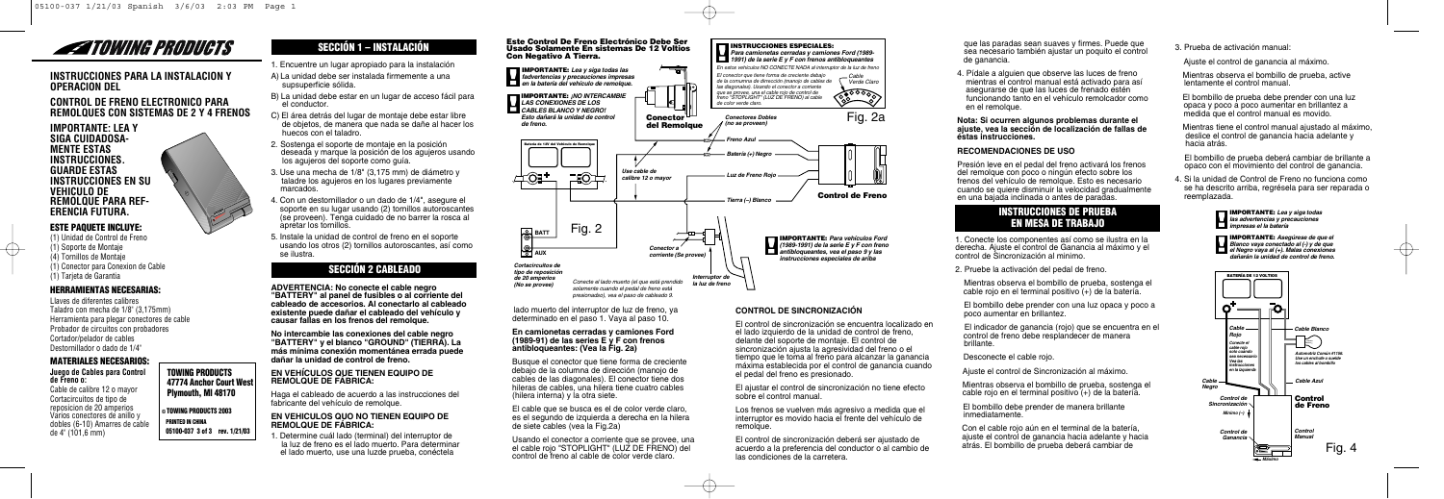#### **INSTRUCCIONES PARA LA INSTALACION Y OPERACION DEL**

#### **CONTROL DE FRENO ELECTRONICO PARA REMOLQUES CON SISTEMAS DE 2 Y 4 FRENOS**

 $\frac{1}{2}$ 

#### **IMPORTANTE: LEA Y SIGA CUIDADOSA-MENTE ESTAS INSTRUCCIONES. GUARDE ESTAS INSTRUCCIONES EN SU VEHICULO DE REMOLQUE PARA REF-ERENCIA FUTURA.**

## **ESTE PAQUETE INCLUYE:**

(1) Unidad de Control de Freno (1) Soporte de Montaje (4) Tornillos de Montaje (1) Conector para Conexion de Cable (1) Tarjeta de Garantia

#### **HERRAMIENTAS NECESARIAS:**

Llaves de diferentes calibres Taladro con mecha de 1/8" (3,175mm) Herramienta para plegar conectores de cable Probador de circuitos con probadores Cortador/pelador de cables Destornillador o dado de 1/4"

#### **MATERIALES NECESARIOS:**

#### **Juego de Cables para Control de Freno o:**  Cable de calibre 12 o mayor

Cortacircuitos de tipo de reposicion de 20 amperios Varios conectores de anillo y dobles (6-10) Amarres de cable de 4" (101,6 mm)

## **TOWING PRODUCTS 47774 Anchor Court West Plymouth, MI 48170**

**© TOWING PRODUCTS 2003 PRINTED IN CHINA 05100-037 3 of 3 rev. 1/21/03**

## **SECCIÓN 1 – INSTALACIÓN**

- 1. Encuentre un lugar apropiado para la instalación
- A) La unidad debe ser instalada firmemente a una supsuperficie sólida.
- B) La unidad debe estar en un lugar de acceso fácil para el conductor.
- C) El área detrás del lugar de montaje debe estar libre de objetos, de manera que nada se dañe al hacer los huecos con el taladro.
- 2. Sostenga el soporte de montaje en la posición deseada y marque la posición de los agujeros usando los agujeros del soporte como guía.
- 3. Use una mecha de 1/8" (3,175 mm) de diámetro y taladre los agujeros en los lugares previamente marcados.
- 4. Con un destornillador o un dado de 1/4", asegure el soporte en su lugar usando (2) tornillos autoroscantes (se proveen). Tenga cuidado de no barrer la rosca al apretar los tornillos.
- 5. Instale la unidad de control de freno en el soporte usando los otros (2) tornillos autoroscantes, así como se ilustra.

## **SECCIÓN 2 CABLEADO**

**ADVERTENCIA: No conecte el cable negro "BATTERY" al panel de fusibles o al corriente del cableado de accesorios. Al conectarlo al cableado existente puede dañar el cableado del vehículo y causar fallas en los frenos del remolque.** 

**No intercambie las conexiones del cable negro "BATTERY" y el blanco "GROUND" (TIERRA). La más mínima conexión momentánea errada puede dañar la unidad de control de freno.** 

> Usando el conector a corriente que se provee, una el cable rojo "STOPLIGHT" (LUZ DE FRENO) del control de freno al cable de color verde claro.

#### **EN VEHíCULOS QUE TIENEN EQUIPO DE REMOLQUE DE FÁBRICA:**

Haga el cableado de acuerdo a las instrucciones del fabricante del vehículo de remolque.

#### **EN VEHICULOS QUO NO TIENEN EQUIPO DE REMOLQUE DE FÁBRICA:**

1. Determine cuál lado (terminal) del interruptor de la luz de freno es el lado muerto. Para determinar el lado muerto, use una luzde prueba, conéctela

Los frenos se vuelven más agresivo a medida que el interruptor es movido hacia el frente del vehículo de remolaue.



lado muerto del interruptor de luz de freno, ya determinado en el paso 1. Vaya al paso 10.

#### **En camionetas cerradas y camiones Ford (1989-91) de las series E y F con frenos antibloqueantes: (Vea la Fig. 2a)**

Busque el conector que tiene forma de creciente debajo de la columna de dirección (manojo de cables de las diagonales). El conector tiene dos hileras de cables, una hilera tiene cuatro cables (hilera interna) y la otra siete.

El cable que se busca es el de color verde claro, es el segundo de izquierda a derecha en la hilera de siete cables (vea la Fig.2a)

#### **CONTROL DE SINCRONIZACIÓN**

El control de sincronización se encuentra localizado en el lado izquierdo de la unidad de control de freno, delante del soporte de montaje. El control de sincronización ajusta la agresividad del freno o el tiempo que le toma al freno para alcanzar la ganancia máxima establecida por el control de ganancia cuando el pedal del freno es presionado.

El ajustar el control de sincronización no tiene efecto sobre el control manual.

El control de sincronización deberá ser ajustado de acuerdo a la preferencia del conductor o al cambio de las condiciones de la carretera.

que las paradas sean suaves y firmes. Puede que sea necesario también ajustar un poquito el control de ganancia.

4. Pídale a alguien que observe las luces de freno mientras el control manual está activado para así asegurarse de que las luces de frenado estén funcionando tanto en el vehículo remolcador como en el remolque.

#### **Nota: Si ocurren algunos problemas durante el ajuste, vea la sección de localización de fallas de éstas instrucciones.**

#### **RECOMENDACIONES DE USO**

Presión leve en el pedal del freno activará los frenos del remolque con poco o ningún efecto sobre los frenos del vehículo de remolque. Esto es necesario cuando se quiere disminuir la velocidad gradualmente en una bajada inclinada o antes de paradas.

#### **INSTRUCCIONES DE PRUEBA EN MESA DE TRABAJO**

1. Conecte los componentes así como se ilustra en la derecha. Ajuste el control de Ganancia al máximo y el control de Sincronización al minimo.

2. Pruebe la activación del pedal de freno.

Mientras observa el bombillo de prueba, sostenga el cable rojo en el terminal positivo (+) de la batería.

El bombillo debe prender con una luz opaca y poco a poco aumentar en brillantez.

El indicador de ganancia (rojo) que se encuentra en el control de freno debe resplandecer de manera brillante.

Desconecte el cable rojo.

Ajuste el control de Sincronización al máximo.

Mientras observa el bombillo de prueba, sostenga el cable rojo en el terminal positivo (+) de la batería.

El bombillo debe prender de manera brillante inmediatamente.

Con el cable rojo aún en el terminal de la batería, ajuste el control de ganancia hacia adelante y hacia atrás. El bombillo de prueba deberá cambiar de

3. Prueba de activación manual:

Ajuste el control de ganancia al máximo.

Mientras observa el bombillo de prueba, active lentamente el control manual.

El bombillo de prueba debe prender con una luz opaca y poco a poco aumentar en brillantez a medida que el control manual es movido.

Mientras tiene el control manual ajustado al máximo, deslice el control de ganancia hacia adelante y hacia atrás.

El bombillo de prueba deberá cambiar de brillante a opaco con el movimiento del control de ganancia.

4. Si la unidad de Control de Freno no funciona como se ha descrito arriba, regrésela para ser reparada o reemplazada.



**IMPORTANTE:** *Asegúrese de que el Blanco vaya conectado al (-) y de que el Negro vaya al (+). Malas conexiones dañarán la unidad de control de freno.*

 $\rightarrow$ 

**IMPORTANTE:** *Lea y siga todas las advertencias y precauciones impresas el la batería*





## **ZATOWING PRODUCTS**